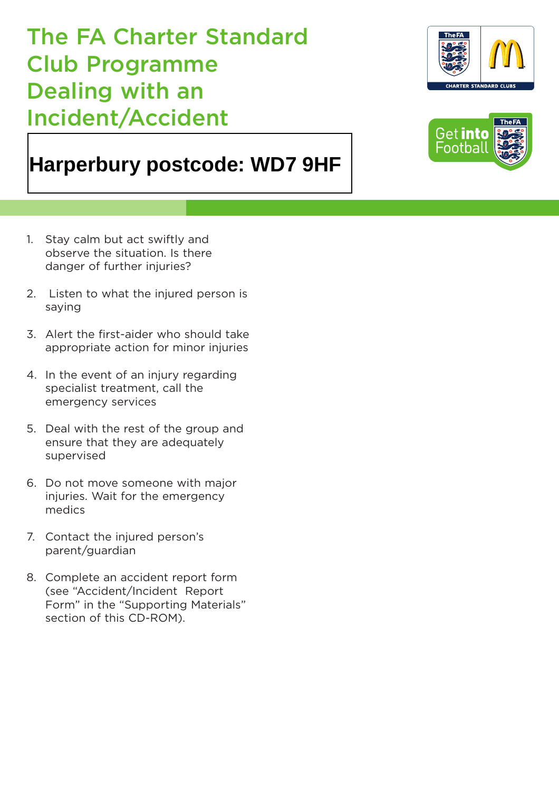The FA Charter Standard Club Programme Dealing with an Incident/Accident

## **Harperbury postcode: WD7 9HF**

- 1. Stay calm but act swiftly and observe the situation. Is there danger of further injuries?
- 2. Listen to what the injured person is saying
- 3. Alert the first-aider who should take appropriate action for minor injuries
- 4. In the event of an injury regarding specialist treatment, call the emergency services
- 5. Deal with the rest of the group and ensure that they are adequately supervised
- 6. Do not move someone with major injuries. Wait for the emergency medics
- 7. Contact the injured person's parent/guardian
- 8. Complete an accident report form (see "Accident/Incident Report Form" in the "Supporting Materials" section of this CD-ROM).